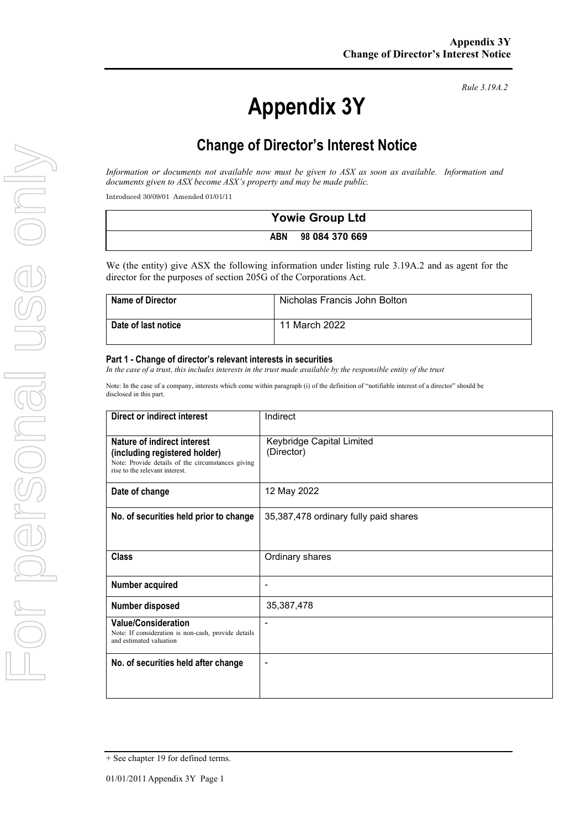# **Appendix 3Y**

*Rule 3.19A.2*

# **Change of Director's Interest Notice**

*Information or documents not available now must be given to ASX as soon as available. Information and documents given to ASX become ASX's property and may be made public.*

Introduced 30/09/01 Amended 01/01/11

| <b>Yowie Group Ltd</b> |                |
|------------------------|----------------|
| ABN                    | 98 084 370 669 |

We (the entity) give ASX the following information under listing rule 3.19A.2 and as agent for the director for the purposes of section 205G of the Corporations Act.

| <b>Name of Director</b> | Nicholas Francis John Bolton |
|-------------------------|------------------------------|
| Date of last notice     | 11 March 2022                |

#### **Part 1 - Change of director's relevant interests in securities**

*In the case of a trust, this includes interests in the trust made available by the responsible entity of the trust*

Note: In the case of a company, interests which come within paragraph (i) of the definition of "notifiable interest of a director" should be disclosed in this part.

| Direct or indirect interest                                                                                                                         | Indirect                                |
|-----------------------------------------------------------------------------------------------------------------------------------------------------|-----------------------------------------|
| Nature of indirect interest<br>(including registered holder)<br>Note: Provide details of the circumstances giving<br>rise to the relevant interest. | Keybridge Capital Limited<br>(Director) |
| Date of change                                                                                                                                      | 12 May 2022                             |
| No. of securities held prior to change                                                                                                              | 35,387,478 ordinary fully paid shares   |
| <b>Class</b>                                                                                                                                        | Ordinary shares                         |
| Number acquired                                                                                                                                     | $\overline{\phantom{a}}$                |
| Number disposed                                                                                                                                     | 35,387,478                              |
| <b>Value/Consideration</b><br>Note: If consideration is non-cash, provide details<br>and estimated valuation                                        | $\blacksquare$                          |
| No. of securities held after change                                                                                                                 |                                         |

<sup>+</sup> See chapter 19 for defined terms.